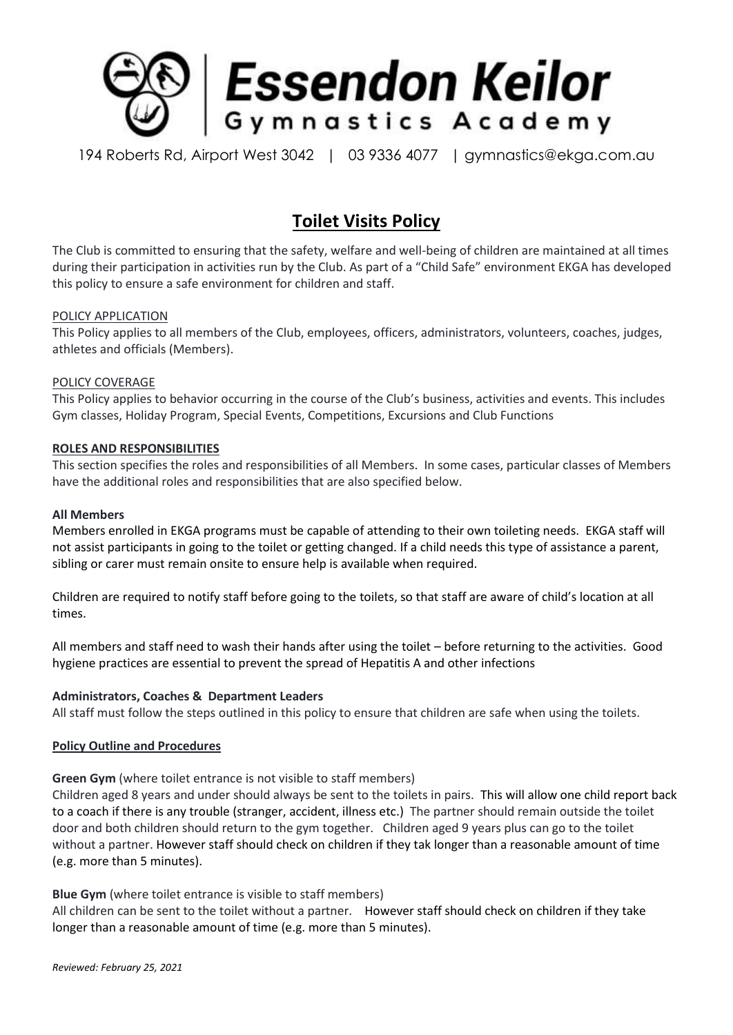

194 Roberts Rd, Airport West 3042 | 03 9336 4077 | gymnastics@ekga.com.au

# **Toilet Visits Policy**

The Club is committed to ensuring that the safety, welfare and well-being of children are maintained at all times during their participation in activities run by the Club. As part of a "Child Safe" environment EKGA has developed this policy to ensure a safe environment for children and staff.

## POLICY APPLICATION

This Policy applies to all members of the Club, employees, officers, administrators, volunteers, coaches, judges, athletes and officials (Members).

#### POLICY COVERAGE

This Policy applies to behavior occurring in the course of the Club's business, activities and events. This includes Gym classes, Holiday Program, Special Events, Competitions, Excursions and Club Functions

## **ROLES AND RESPONSIBILITIES**

This section specifies the roles and responsibilities of all Members. In some cases, particular classes of Members have the additional roles and responsibilities that are also specified below.

#### **All Members**

Members enrolled in EKGA programs must be capable of attending to their own toileting needs. EKGA staff will not assist participants in going to the toilet or getting changed. If a child needs this type of assistance a parent, sibling or carer must remain onsite to ensure help is available when required.

Children are required to notify staff before going to the toilets, so that staff are aware of child's location at all times.

All members and staff need to wash their hands after using the toilet – before returning to the activities. Good hygiene practices are essential to prevent the spread of Hepatitis A and other infections

#### **Administrators, Coaches & Department Leaders**

All staff must follow the steps outlined in this policy to ensure that children are safe when using the toilets.

#### **Policy Outline and Procedures**

**Green Gym** (where toilet entrance is not visible to staff members)

Children aged 8 years and under should always be sent to the toilets in pairs. This will allow one child report back to a coach if there is any trouble (stranger, accident, illness etc.) The partner should remain outside the toilet door and both children should return to the gym together. Children aged 9 years plus can go to the toilet without a partner. However staff should check on children if they tak longer than a reasonable amount of time (e.g. more than 5 minutes).

#### **Blue Gym** (where toilet entrance is visible to staff members)

All children can be sent to the toilet without a partner. However staff should check on children if they take longer than a reasonable amount of time (e.g. more than 5 minutes).